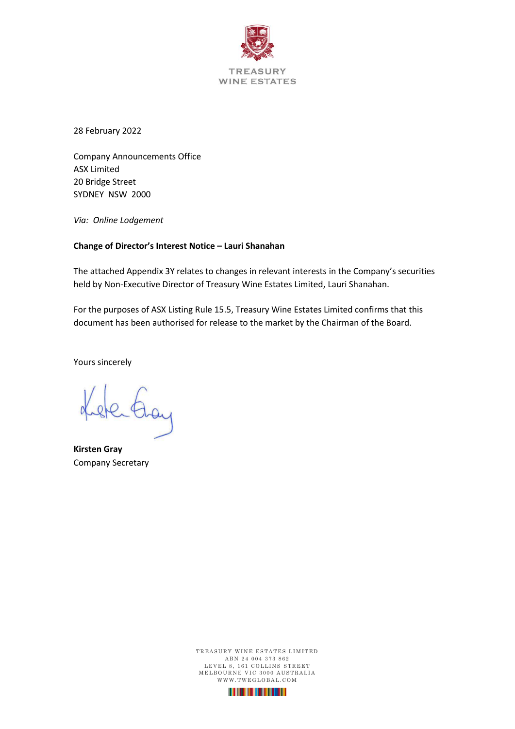

28 February 2022

Company Announcements Office ASX Limited 20 Bridge Street SYDNEY NSW 2000

*Via: Online Lodgement*

#### **Change of Director's Interest Notice – Lauri Shanahan**

The attached Appendix 3Y relates to changes in relevant interests in the Company's securities held by Non-Executive Director of Treasury Wine Estates Limited, Lauri Shanahan.

For the purposes of ASX Listing Rule 15.5, Treasury Wine Estates Limited confirms that this document has been authorised for release to the market by the Chairman of the Board.

Yours sincerely

sterting

**Kirsten Gray** Company Secretary

TREASURY WINE ESTATES LIMITED ABN 24 004 373 862 LEVEL 8, 161 COLLINS STREET M E L BOURNE VIC 3000 AUSTRALIA WWW.TWEGLOBAL.COM

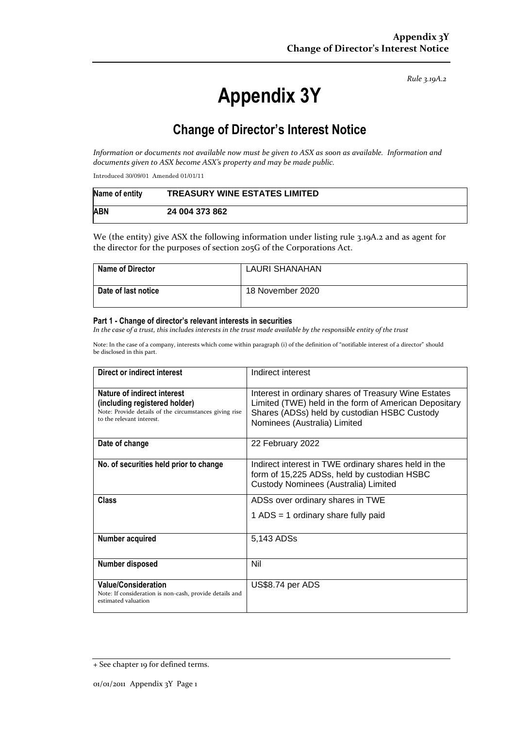*Rule 3.19A.2*

# **Appendix 3Y**

# **Change of Director's Interest Notice**

*Information or documents not available now must be given to ASX as soon as available. Information and documents given to ASX become ASX's property and may be made public.*

Introduced 30/09/01 Amended 01/01/11

| Name of entity | <b>TREASURY WINE ESTATES LIMITED</b> |
|----------------|--------------------------------------|
| <b>ABN</b>     | 24 004 373 862                       |

We (the entity) give ASX the following information under listing rule 3.19A.2 and as agent for the director for the purposes of section 205G of the Corporations Act.

| <b>Name of Director</b> | <b>LAURI SHANAHAN</b> |
|-------------------------|-----------------------|
| l Date of last notice   | 18 November 2020      |

#### **Part 1 - Change of director's relevant interests in securities**

*In the case of a trust, this includes interests in the trust made available by the responsible entity of the trust*

Note: In the case of a company, interests which come within paragraph (i) of the definition of "notifiable interest of a director" should be disclosed in this part.

| Direct or indirect interest                                                                                                                         | Indirect interest                                                                                                                                                                             |  |
|-----------------------------------------------------------------------------------------------------------------------------------------------------|-----------------------------------------------------------------------------------------------------------------------------------------------------------------------------------------------|--|
| Nature of indirect interest<br>(including registered holder)<br>Note: Provide details of the circumstances giving rise<br>to the relevant interest. | Interest in ordinary shares of Treasury Wine Estates<br>Limited (TWE) held in the form of American Depositary<br>Shares (ADSs) held by custodian HSBC Custody<br>Nominees (Australia) Limited |  |
| Date of change                                                                                                                                      | 22 February 2022                                                                                                                                                                              |  |
| No. of securities held prior to change                                                                                                              | Indirect interest in TWE ordinary shares held in the<br>form of 15,225 ADSs, held by custodian HSBC<br>Custody Nominees (Australia) Limited                                                   |  |
| Class                                                                                                                                               | ADSs over ordinary shares in TWE<br>1 ADS = 1 ordinary share fully paid                                                                                                                       |  |
| Number acquired                                                                                                                                     | 5,143 ADSs                                                                                                                                                                                    |  |
| <b>Number disposed</b>                                                                                                                              | Nil                                                                                                                                                                                           |  |
| <b>Value/Consideration</b><br>Note: If consideration is non-cash, provide details and<br>estimated valuation                                        | US\$8.74 per ADS                                                                                                                                                                              |  |

<sup>+</sup> See chapter 19 for defined terms.